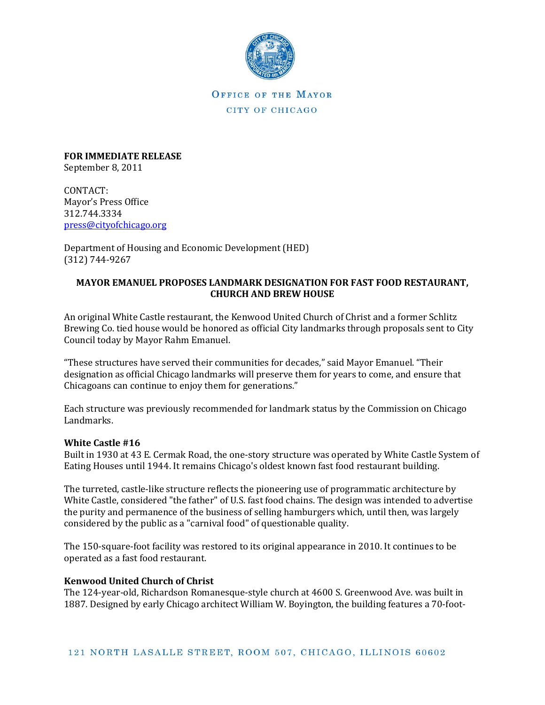

OFFICE OF THE MAYOR CITY OF CHICAGO

**FOR IMMEDIATE RELEASE** September 8, 2011

CONTACT: Mayor's Press Office 312.744.3334 [press@cityofchicago.org](mailto:press@cityofchicago.org)

Department of Housing and Economic Development (HED) (312) 744-9267

## **MAYOR EMANUEL PROPOSES LANDMARK DESIGNATION FOR FAST FOOD RESTAURANT, CHURCH AND BREW HOUSE**

An original White Castle restaurant, the Kenwood United Church of Christ and a former Schlitz Brewing Co. tied house would be honored as official City landmarks through proposals sent to City Council today by Mayor Rahm Emanuel.

"These structures have served their communities for decades," said Mayor Emanuel. "Their designation as official Chicago landmarks will preserve them for years to come, and ensure that Chicagoans can continue to enjoy them for generations."

Each structure was previously recommended for landmark status by the Commission on Chicago Landmarks.

### **White Castle #16**

Built in 1930 at 43 E. Cermak Road, the one-story structure was operated by White Castle System of Eating Houses until 1944. It remains Chicago's oldest known fast food restaurant building.

The turreted, castle-like structure reflects the pioneering use of programmatic architecture by White Castle, considered "the father" of U.S. fast food chains. The design was intended to advertise the purity and permanence of the business of selling hamburgers which, until then, was largely considered by the public as a "carnival food" of questionable quality.

The 150-square-foot facility was restored to its original appearance in 2010. It continues to be operated as a fast food restaurant.

### **Kenwood United Church of Christ**

The 124-year-old, Richardson Romanesque-style church at 4600 S. Greenwood Ave. was built in 1887. Designed by early Chicago architect William W. Boyington, the building features a 70-foot-